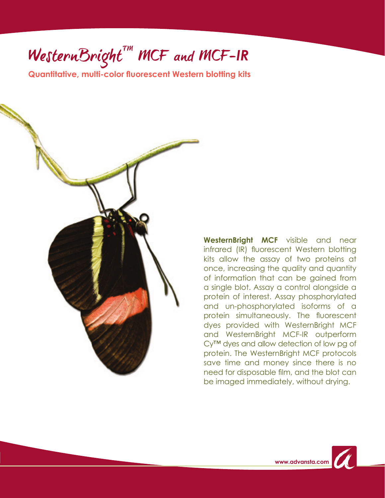# $WesternBright^{tm}$  MCF and MCF-IR

**Quantitative, multi-color fluorescent Western blotting kits**



**WesternBright MCF** visible and near infrared (IR) fluorescent Western blotting kits allow the assay of two proteins at once, increasing the quality and quantity of information that can be gained from a single blot. Assay a control alongside a protein of interest. Assay phosphorylated and un-phosphorylated isoforms of a protein simultaneously. The fluorescent dyes provided with WesternBright MCF and WesternBright MCF-IR outperform Cy™ dyes and allow detection of low pg of protein. The WesternBright MCF protocols save time and money since there is no need for disposable film, and the blot can be imaged immediately, without drying.

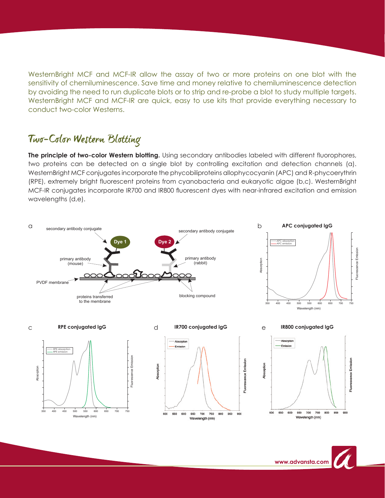WesternBright MCF and MCF-IR allow the assay of two or more proteins on one blot with the sensitivity of chemiluminescence. Save time and money relative to chemiluminescence detection by avoiding the need to run duplicate blots or to strip and re-probe a blot to study multiple targets. WesternBright MCF and MCF-IR are quick, easy to use kits that provide everything necessary to conduct two-color Westerns.

### Two-Color Western Blotting

**The principle of two-color Western blotting.** Using secondary antibodies labeled with different fluorophores, two proteins can be detected on a single blot by controlling excitation and detection channels (a). WesternBright MCF conjugates incorporate the phycobiliproteins allophycocyanin (APC) and R-phycoerythrin (RPE), extremely bright fluorescent proteins from cyanobacteria and eukaryotic algae (b,c). WesternBright MCF-IR conjugates incorporate IR700 and IR800 fluorescent dyes with near-infrared excitation and emission wavelengths (d,e).



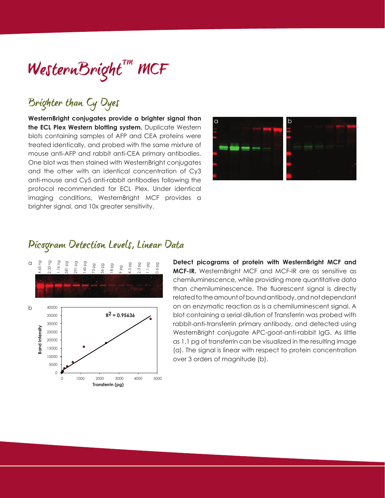## WesternBright" MCF

### Brighter than Cy Dyes

**WesternBright conjugates provide a brighter signal than the ECL Plex Western blotting system.** Duplicate Western blots containing samples of AFP and CEA proteins were treated identically, and probed with the same mixture of mouse anti-AFP and rabbit anti-CEA primary antibodies. One blot was then stained with WesternBright conjugates and the other with an identical concentration of Cy3 anti-mouse and Cy5 anti-rabbit antibodies following the protocol recommended for ECL Plex. Under identical imaging conditions, WesternBright MCF provides a brighter signal, and 10x greater sensitivity.



#### Picogram Detection Levels, Linear Data



**Detect picograms of protein with WesternBright MCF and MCF-IR.** WesternBright MCF and MCF-IR are as sensitive as chemiluminescence, while providing more quantitative data than chemiluminescence. The fluorescent signal is directly related to the amount of bound antibody, and not dependant on an enzymatic reaction as is a chemiluminescent signal. A blot containing a serial dilution of Transferrin was probed with rabbit-anti-transferrin primary antibody, and detected using WesternBright conjugate APC-goat-anti-rabbit IgG. As little as 1.1 pg of transferrin can be visualized in the resulting image (a). The signal is linear with respect to protein concentration over 3 orders of magnitude (b).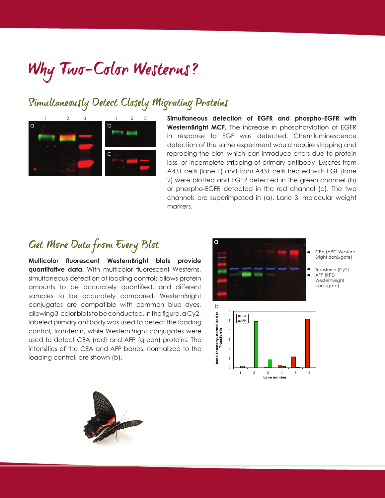## Why Two-Color Westerns?

### Simultaneously Detect Closely Migrating Proteins



**Simultaneous detection of EGFR and phospho-EGFR with WesternBright MCF.** The increase in phosphorylation of EGFR in response to EGF was detected. Chemiluminescence detection of the same experiment would require stripping and reprobing the blot, which can introduce errors due to protein loss, or incomplete stripping of primary antibody. Lysates from A431 cells (lane 1) and from A431 cells treated with EGF (lane 2) were blotted and EGFR detected in the green channel (b) or phospho-EGFR detected in the red channel (c). The two channels are superimposed in (a). Lane 3: molecular weight markers.

### Get More Data from Every Blot

**Multicolor fluorescent WesternBright blots provide quantitative data.** With multicolor fluorescent Westerns, simultaneous detection of loading controls allows protein amounts to be accurately quantified, and different samples to be accurately compared. WesternBright conjugates are compatible with common blue dyes, allowing 3-color blots to be conducted. In the figure, a Cy2 labeled primary antibody was used to detect the loading control, transferrin, while WesternBright conjugates were used to detect CEA (red) and AFP (green) proteins. The intensities of the CEA and AFP bands, normalized to the loading control, are shown (b).



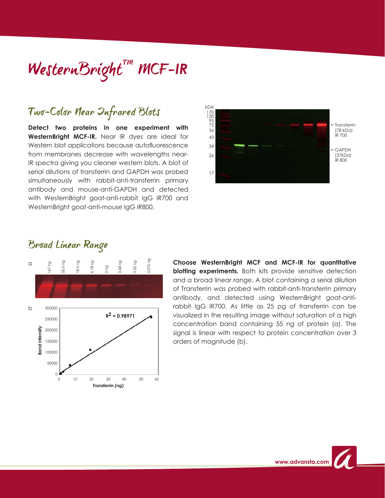## $WestennBright^{\tau m}$  MCF-IR

### Two-Color Near Infrared Blots

**Detect two proteins in one experiment with WesternBright MCF-IR.** Near IR dyes are ideal for Western blot applications because autofluorescence from membranes decrease with wavelengths near-IR spectra giving you cleaner western blots. A blot of serial dilutions of transferrin and GAPDH was probed simultaneously with rabbit-anti-transferrin primary antibody and mouse-anti-GAPDH and detected with WesternBright goat-anti-rabbit IgG IR700 and WesternBright goat-anti-mouse IgG IR800.



#### Broad Linear Range



**Choose WesternBright MCF and MCF-IR for quantitative blotting experiments.** Both kits provide sensitive detection and a broad linear range. A blot containing a serial dilution of Transferrin was probed with rabbit-anti-transferrin primary antibody, and detected using WesternBright goat-antirabbit IgG IR700. As little as 25 pg of transferrin can be visualized in the resulting image without saturation of a high concentration band containing 55 ng of protein (a). The signal is linear with respect to protein concentration over 3 orders of magnitude (b).